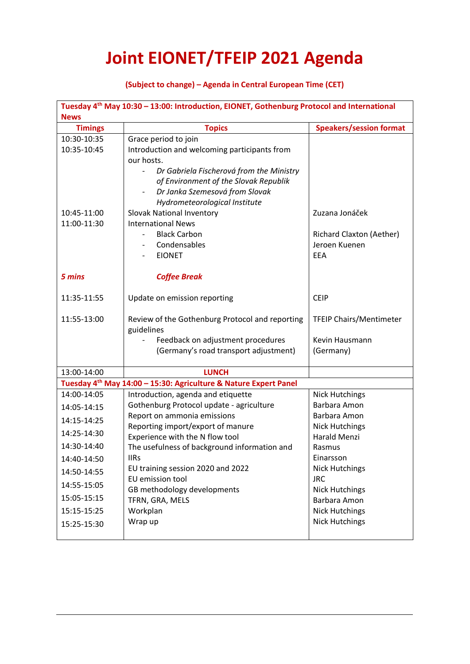## **Joint EIONET/TFEIP 2021 Agenda**

## **(Subject to change) – Agenda in Central European Time (CET)**

| Tuesday 4 <sup>th</sup> May 10:30 - 13:00: Introduction, EIONET, Gothenburg Protocol and International |                                                                              |                                       |  |  |
|--------------------------------------------------------------------------------------------------------|------------------------------------------------------------------------------|---------------------------------------|--|--|
| <b>News</b>                                                                                            |                                                                              |                                       |  |  |
| <b>Timings</b>                                                                                         | <b>Topics</b>                                                                | <b>Speakers/session format</b>        |  |  |
| 10:30-10:35                                                                                            | Grace period to join                                                         |                                       |  |  |
| 10:35-10:45                                                                                            | Introduction and welcoming participants from                                 |                                       |  |  |
|                                                                                                        | our hosts.                                                                   |                                       |  |  |
|                                                                                                        | Dr Gabriela Fischerová from the Ministry                                     |                                       |  |  |
|                                                                                                        | of Environment of the Slovak Republik                                        |                                       |  |  |
|                                                                                                        | Dr Janka Szemesová from Slovak                                               |                                       |  |  |
|                                                                                                        | Hydrometeorological Institute                                                |                                       |  |  |
| 10:45-11:00                                                                                            | <b>Slovak National Inventory</b>                                             | Zuzana Jonáček                        |  |  |
| 11:00-11:30                                                                                            | <b>International News</b>                                                    |                                       |  |  |
|                                                                                                        | <b>Black Carbon</b>                                                          | Richard Claxton (Aether)              |  |  |
|                                                                                                        | Condensables                                                                 | Jeroen Kuenen                         |  |  |
|                                                                                                        | <b>EIONET</b>                                                                | <b>EEA</b>                            |  |  |
| 5 mins                                                                                                 | <b>Coffee Break</b>                                                          |                                       |  |  |
|                                                                                                        |                                                                              |                                       |  |  |
| 11:35-11:55                                                                                            | Update on emission reporting                                                 | <b>CEIP</b>                           |  |  |
| 11:55-13:00                                                                                            | Review of the Gothenburg Protocol and reporting<br>guidelines                | <b>TFEIP Chairs/Mentimeter</b>        |  |  |
|                                                                                                        | Feedback on adjustment procedures                                            | Kevin Hausmann                        |  |  |
|                                                                                                        | (Germany's road transport adjustment)                                        | (Germany)                             |  |  |
| 13:00-14:00                                                                                            | <b>LUNCH</b>                                                                 |                                       |  |  |
|                                                                                                        | Tuesday 4 <sup>th</sup> May 14:00 - 15:30: Agriculture & Nature Expert Panel |                                       |  |  |
| 14:00-14:05                                                                                            | Introduction, agenda and etiquette                                           | <b>Nick Hutchings</b>                 |  |  |
| 14:05-14:15                                                                                            | Gothenburg Protocol update - agriculture                                     | Barbara Amon                          |  |  |
| 14:15-14:25                                                                                            | Report on ammonia emissions                                                  | Barbara Amon                          |  |  |
|                                                                                                        | Reporting import/export of manure                                            | <b>Nick Hutchings</b>                 |  |  |
| 14:25-14:30                                                                                            | Experience with the N flow tool                                              | Harald Menzi                          |  |  |
| 14:30-14:40                                                                                            | The usefulness of background information and                                 | Rasmus                                |  |  |
| 14:40-14:50                                                                                            | <b>IIRs</b>                                                                  | Einarsson                             |  |  |
| 14:50-14:55                                                                                            | EU training session 2020 and 2022<br>EU emission tool                        | <b>Nick Hutchings</b><br><b>JRC</b>   |  |  |
| 14:55-15:05                                                                                            | GB methodology developments                                                  |                                       |  |  |
| 15:05-15:15                                                                                            | TFRN, GRA, MELS                                                              | <b>Nick Hutchings</b><br>Barbara Amon |  |  |
| 15:15-15:25                                                                                            | Workplan                                                                     | <b>Nick Hutchings</b>                 |  |  |
| 15:25-15:30                                                                                            | Wrap up                                                                      | <b>Nick Hutchings</b>                 |  |  |
|                                                                                                        |                                                                              |                                       |  |  |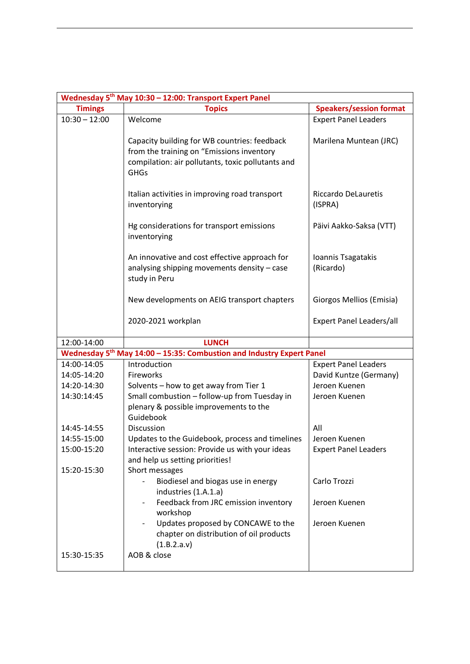| Wednesday 5 <sup>th</sup> May 10:30 - 12:00: Transport Expert Panel |                                                                                                                                                               |                                 |  |  |
|---------------------------------------------------------------------|---------------------------------------------------------------------------------------------------------------------------------------------------------------|---------------------------------|--|--|
| <b>Timings</b>                                                      | <b>Topics</b>                                                                                                                                                 | <b>Speakers/session format</b>  |  |  |
| $10:30 - 12:00$                                                     | Welcome                                                                                                                                                       | <b>Expert Panel Leaders</b>     |  |  |
|                                                                     | Capacity building for WB countries: feedback<br>from the training on "Emissions inventory<br>compilation: air pollutants, toxic pollutants and<br><b>GHGs</b> | Marilena Muntean (JRC)          |  |  |
|                                                                     | Italian activities in improving road transport<br>inventorying                                                                                                | Riccardo DeLauretis<br>(ISPRA)  |  |  |
|                                                                     | Hg considerations for transport emissions<br>inventorying                                                                                                     | Päivi Aakko-Saksa (VTT)         |  |  |
|                                                                     | An innovative and cost effective approach for<br>analysing shipping movements density - case<br>study in Peru                                                 | Ioannis Tsagatakis<br>(Ricardo) |  |  |
|                                                                     | New developments on AEIG transport chapters                                                                                                                   | Giorgos Mellios (Emisia)        |  |  |
|                                                                     | 2020-2021 workplan                                                                                                                                            | <b>Expert Panel Leaders/all</b> |  |  |
| 12:00-14:00                                                         | <b>LUNCH</b>                                                                                                                                                  |                                 |  |  |
|                                                                     | Wednesday 5 <sup>th</sup> May 14:00 - 15:35: Combustion and Industry Expert Panel                                                                             |                                 |  |  |
| 14:00-14:05                                                         | Introduction                                                                                                                                                  | <b>Expert Panel Leaders</b>     |  |  |
| 14:05-14:20                                                         | Fireworks                                                                                                                                                     | David Kuntze (Germany)          |  |  |
| 14:20-14:30                                                         | Solvents - how to get away from Tier 1                                                                                                                        | Jeroen Kuenen                   |  |  |
| 14:30:14:45                                                         | Small combustion - follow-up from Tuesday in<br>plenary & possible improvements to the<br>Guidebook                                                           | Jeroen Kuenen                   |  |  |
| 14:45-14:55                                                         | Discussion                                                                                                                                                    | All                             |  |  |
| 14:55-15:00                                                         | Updates to the Guidebook, process and timelines                                                                                                               | Jeroen Kuenen                   |  |  |
| 15:00-15:20                                                         | Interactive session: Provide us with your ideas                                                                                                               | <b>Expert Panel Leaders</b>     |  |  |
|                                                                     | and help us setting priorities!                                                                                                                               |                                 |  |  |
| 15:20-15:30                                                         | Short messages<br>Biodiesel and biogas use in energy<br>industries (1.A.1.a)                                                                                  | Carlo Trozzi                    |  |  |
|                                                                     | Feedback from JRC emission inventory<br>workshop                                                                                                              | Jeroen Kuenen                   |  |  |
|                                                                     | Updates proposed by CONCAWE to the<br>chapter on distribution of oil products<br>(1.B.2.a.v)                                                                  | Jeroen Kuenen                   |  |  |
| 15:30-15:35                                                         | AOB & close                                                                                                                                                   |                                 |  |  |